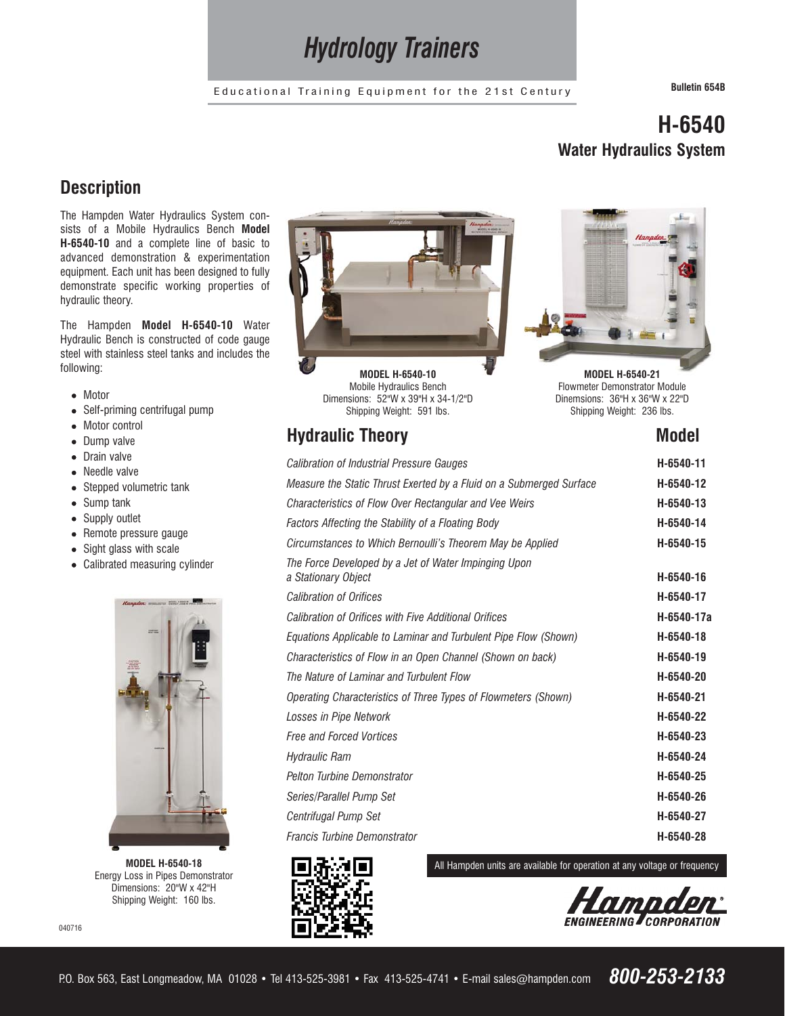# *Hydrology Trainers*

Educational Training Equipment for the 21st Century **Bulletin 654B**

# **H-6540 Water Hydraulics System**

**MODEL H-6540-21** Flowmeter Demonstrator Module Dinemsions: 36"H x 36"W x 22"D Shipping Weight: 236 lbs.

# **Description**

The Hampden Water Hydraulics System consists of a Mobile Hydraulics Bench **Model H-6540-10** and a complete line of basic to advanced demonstration & experimentation equipment. Each unit has been designed to fully demonstrate specific working properties of hydraulic theory.

The Hampden **Model H-6540-10** Water Hydraulic Bench is constructed of code gauge steel with stainless steel tanks and includes the following:

- Motor
- Self-priming centrifugal pump
- Motor control
- Dump valve
- Drain valve
- Needle valve
- Stepped volumetric tank
- Sump tank
- Supply outlet
- Remote pressure gauge
- Sight glass with scale
- Calibrated measuring cylinder



**MODEL H-6540-18** Energy Loss in Pipes Demonstrator Dimensions: 20"W x 42"H Shipping Weight: 160 lbs.

040716





# **Hydraulic Theory Model Accord Model Accord Model Accord Model Accord Model Accord Model Accord Model Accord Model Accord Model Accord Model Accord Model Accord Model Accord Model Accord Model Accord Model Accord Model Acc**

| Calibration of Industrial Pressure Gauges                                   | H-6540-11  |
|-----------------------------------------------------------------------------|------------|
| Measure the Static Thrust Exerted by a Fluid on a Submerged Surface         | H-6540-12  |
| Characteristics of Flow Over Rectangular and Vee Weirs                      | H-6540-13  |
| Factors Affecting the Stability of a Floating Body                          | H-6540-14  |
| Circumstances to Which Bernoulli's Theorem May be Applied                   | H-6540-15  |
| The Force Developed by a Jet of Water Impinging Upon<br>a Stationary Object | H-6540-16  |
| <b>Calibration of Orifices</b>                                              | H-6540-17  |
| <b>Calibration of Orifices with Five Additional Orifices</b>                | H-6540-17a |
| Equations Applicable to Laminar and Turbulent Pipe Flow (Shown)             | H-6540-18  |
| Characteristics of Flow in an Open Channel (Shown on back)                  | H-6540-19  |
| The Nature of Laminar and Turbulent Flow                                    | H-6540-20  |
| Operating Characteristics of Three Types of Flowmeters (Shown)              | H-6540-21  |
| Losses in Pipe Network                                                      | H-6540-22  |
| <b>Free and Forced Vortices</b>                                             | H-6540-23  |
| Hydraulic Ram                                                               | H-6540-24  |
| <b>Pelton Turbine Demonstrator</b>                                          | H-6540-25  |
| Series/Parallel Pump Set                                                    | H-6540-26  |
| Centrifugal Pump Set                                                        | H-6540-27  |
| <b>Francis Turbine Demonstrator</b>                                         | H-6540-28  |



All Hampden units are available for operation at any voltage or frequency